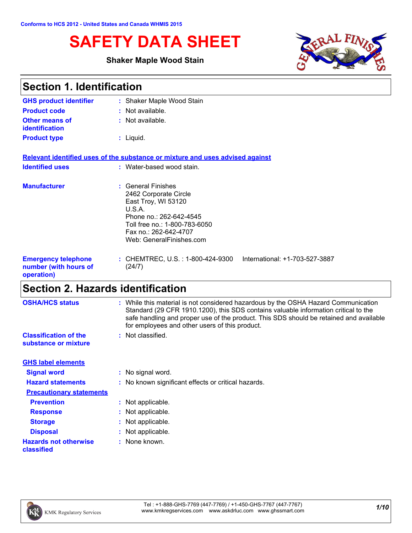# **SAFETY DATA SHEET**

### **Shaker Maple Wood Stain**



| <b>Section 1. Identification</b>                                  |                                                                                                                                                                                               |  |
|-------------------------------------------------------------------|-----------------------------------------------------------------------------------------------------------------------------------------------------------------------------------------------|--|
| <b>GHS product identifier</b>                                     | : Shaker Maple Wood Stain                                                                                                                                                                     |  |
| <b>Product code</b>                                               | $:$ Not available.                                                                                                                                                                            |  |
| <b>Other means of</b><br>identification                           | : Not available.                                                                                                                                                                              |  |
| <b>Product type</b>                                               | $:$ Liquid.                                                                                                                                                                                   |  |
|                                                                   | Relevant identified uses of the substance or mixture and uses advised against                                                                                                                 |  |
| <b>Identified uses</b>                                            | : Water-based wood stain.                                                                                                                                                                     |  |
| <b>Manufacturer</b>                                               | : General Finishes<br>2462 Corporate Circle<br>East Troy, WI 53120<br>U.S.A.<br>Phone no.: 262-642-4545<br>Toll free no.: 1-800-783-6050<br>Fax no.: 262-642-4707<br>Web: GeneralFinishes.com |  |
| <b>Emergency telephone</b><br>number (with hours of<br>operation) | : CHEMTREC, U.S. : 1-800-424-9300<br>International: +1-703-527-3887<br>(24/7)                                                                                                                 |  |

# **Section 2. Hazards identification**

| <b>OSHA/HCS status</b>                               | : While this material is not considered hazardous by the OSHA Hazard Communication<br>Standard (29 CFR 1910.1200), this SDS contains valuable information critical to the<br>safe handling and proper use of the product. This SDS should be retained and available<br>for employees and other users of this product. |  |
|------------------------------------------------------|-----------------------------------------------------------------------------------------------------------------------------------------------------------------------------------------------------------------------------------------------------------------------------------------------------------------------|--|
| <b>Classification of the</b><br>substance or mixture | : Not classified.                                                                                                                                                                                                                                                                                                     |  |
| <b>GHS label elements</b>                            |                                                                                                                                                                                                                                                                                                                       |  |
| <b>Signal word</b>                                   | : No signal word.                                                                                                                                                                                                                                                                                                     |  |
| <b>Hazard statements</b>                             | : No known significant effects or critical hazards.                                                                                                                                                                                                                                                                   |  |
| <b>Precautionary statements</b>                      |                                                                                                                                                                                                                                                                                                                       |  |
| <b>Prevention</b>                                    | : Not applicable.                                                                                                                                                                                                                                                                                                     |  |
| <b>Response</b>                                      | : Not applicable.                                                                                                                                                                                                                                                                                                     |  |
| <b>Storage</b>                                       | : Not applicable.                                                                                                                                                                                                                                                                                                     |  |
| <b>Disposal</b>                                      | : Not applicable.                                                                                                                                                                                                                                                                                                     |  |
| <b>Hazards not otherwise</b><br>classified           | : None known.                                                                                                                                                                                                                                                                                                         |  |

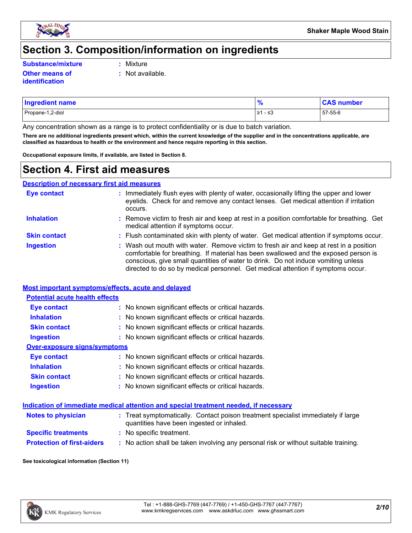

# **Section 3. Composition/information on ingredients**

**Substance/mixture :**

**Other means of identification**

- Mixture
- **:** Not available.

| <b>Ingredient name</b> |                        | <b>CAS number</b> |
|------------------------|------------------------|-------------------|
| Propane-1,2-diol       | ، ر<br>l ≥1<br>س د - ∵ | 57-55-6           |

Any concentration shown as a range is to protect confidentiality or is due to batch variation.

**There are no additional ingredients present which, within the current knowledge of the supplier and in the concentrations applicable, are classified as hazardous to health or the environment and hence require reporting in this section.**

**Occupational exposure limits, if available, are listed in Section 8.**

## **Section 4. First aid measures**

**Description of necessary first aid measures**

| <b>Eye contact</b>  | : Immediately flush eyes with plenty of water, occasionally lifting the upper and lower<br>eyelids. Check for and remove any contact lenses. Get medical attention if irritation<br>occurs.                                                                                                                                                            |
|---------------------|--------------------------------------------------------------------------------------------------------------------------------------------------------------------------------------------------------------------------------------------------------------------------------------------------------------------------------------------------------|
| <b>Inhalation</b>   | : Remove victim to fresh air and keep at rest in a position comfortable for breathing. Get<br>medical attention if symptoms occur.                                                                                                                                                                                                                     |
| <b>Skin contact</b> | : Flush contaminated skin with plenty of water. Get medical attention if symptoms occur.                                                                                                                                                                                                                                                               |
| <b>Ingestion</b>    | : Wash out mouth with water. Remove victim to fresh air and keep at rest in a position<br>comfortable for breathing. If material has been swallowed and the exposed person is<br>conscious, give small quantities of water to drink. Do not induce vomiting unless<br>directed to do so by medical personnel. Get medical attention if symptoms occur. |

#### **Most important symptoms/effects, acute and delayed**

| <b>Potential acute health effects</b> |                                                     |
|---------------------------------------|-----------------------------------------------------|
| <b>Eye contact</b>                    | : No known significant effects or critical hazards. |
| <b>Inhalation</b>                     | : No known significant effects or critical hazards. |
| <b>Skin contact</b>                   | : No known significant effects or critical hazards. |
| Ingestion                             | : No known significant effects or critical hazards. |
| Over-exposure signs/symptoms          |                                                     |
| Eye contact                           | : No known significant effects or critical hazards. |
| <b>Inhalation</b>                     | : No known significant effects or critical hazards. |
| <b>Skin contact</b>                   | : No known significant effects or critical hazards. |
| <b>Ingestion</b>                      | : No known significant effects or critical hazards. |

#### **Indication of immediate medical attention and special treatment needed, if necessary**

| <b>Notes to physician</b>         | : Treat symptomatically. Contact poison treatment specialist immediately if large<br>quantities have been ingested or inhaled. |
|-----------------------------------|--------------------------------------------------------------------------------------------------------------------------------|
| <b>Specific treatments</b>        | : No specific treatment.                                                                                                       |
| <b>Protection of first-aiders</b> | No action shall be taken involving any personal risk or without suitable training.                                             |

#### **See toxicological information (Section 11)**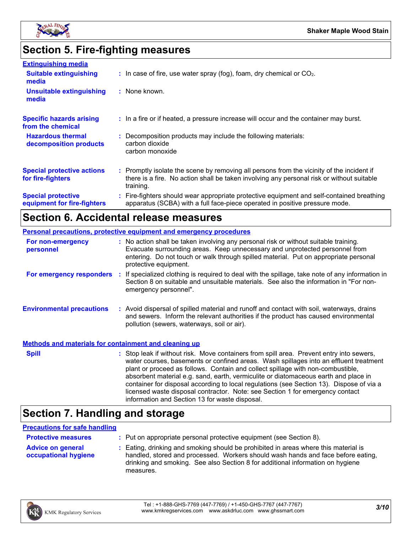

# **Section 5. Fire-fighting measures**

| <b>Extinguishing media</b>                               |                                                                                                                                                                                                     |
|----------------------------------------------------------|-----------------------------------------------------------------------------------------------------------------------------------------------------------------------------------------------------|
| <b>Suitable extinguishing</b><br>media                   | $\therefore$ In case of fire, use water spray (fog), foam, dry chemical or CO <sub>2</sub> .                                                                                                        |
| <b>Unsuitable extinguishing</b><br>media                 | : None known.                                                                                                                                                                                       |
| <b>Specific hazards arising</b><br>from the chemical     | : In a fire or if heated, a pressure increase will occur and the container may burst.                                                                                                               |
| <b>Hazardous thermal</b><br>decomposition products       | : Decomposition products may include the following materials:<br>carbon dioxide<br>carbon monoxide                                                                                                  |
| <b>Special protective actions</b><br>for fire-fighters   | : Promptly isolate the scene by removing all persons from the vicinity of the incident if<br>there is a fire. No action shall be taken involving any personal risk or without suitable<br>training. |
| <b>Special protective</b><br>equipment for fire-fighters | : Fire-fighters should wear appropriate protective equipment and self-contained breathing<br>apparatus (SCBA) with a full face-piece operated in positive pressure mode.                            |

# **Section 6. Accidental release measures**

|                                                              | <b>Personal precautions, protective equipment and emergency procedures</b>                                                                                                                                                                                                                                                                                                                                                                                                                                                                                                                 |
|--------------------------------------------------------------|--------------------------------------------------------------------------------------------------------------------------------------------------------------------------------------------------------------------------------------------------------------------------------------------------------------------------------------------------------------------------------------------------------------------------------------------------------------------------------------------------------------------------------------------------------------------------------------------|
| For non-emergency<br>personnel                               | : No action shall be taken involving any personal risk or without suitable training.<br>Evacuate surrounding areas. Keep unnecessary and unprotected personnel from<br>entering. Do not touch or walk through spilled material. Put on appropriate personal<br>protective equipment.                                                                                                                                                                                                                                                                                                       |
|                                                              | For emergency responders : If specialized clothing is required to deal with the spillage, take note of any information in<br>Section 8 on suitable and unsuitable materials. See also the information in "For non-<br>emergency personnel".                                                                                                                                                                                                                                                                                                                                                |
| <b>Environmental precautions</b>                             | : Avoid dispersal of spilled material and runoff and contact with soil, waterways, drains<br>and sewers. Inform the relevant authorities if the product has caused environmental<br>pollution (sewers, waterways, soil or air).                                                                                                                                                                                                                                                                                                                                                            |
| <b>Methods and materials for containment and cleaning up</b> |                                                                                                                                                                                                                                                                                                                                                                                                                                                                                                                                                                                            |
| <b>Spill</b>                                                 | : Stop leak if without risk. Move containers from spill area. Prevent entry into sewers,<br>water courses, basements or confined areas. Wash spillages into an effluent treatment<br>plant or proceed as follows. Contain and collect spillage with non-combustible,<br>absorbent material e.g. sand, earth, vermiculite or diatomaceous earth and place in<br>container for disposal according to local regulations (see Section 13). Dispose of via a<br>licensed waste disposal contractor. Note: see Section 1 for emergency contact<br>information and Section 13 for waste disposal. |

# **Section 7. Handling and storage**

#### **Precautions for safe handling**

| <b>Protective measures</b>                       | : Put on appropriate personal protective equipment (see Section 8).                                                                                                                                                                                                    |
|--------------------------------------------------|------------------------------------------------------------------------------------------------------------------------------------------------------------------------------------------------------------------------------------------------------------------------|
| <b>Advice on general</b><br>occupational hygiene | : Eating, drinking and smoking should be prohibited in areas where this material is<br>handled, stored and processed. Workers should wash hands and face before eating,<br>drinking and smoking. See also Section 8 for additional information on hygiene<br>measures. |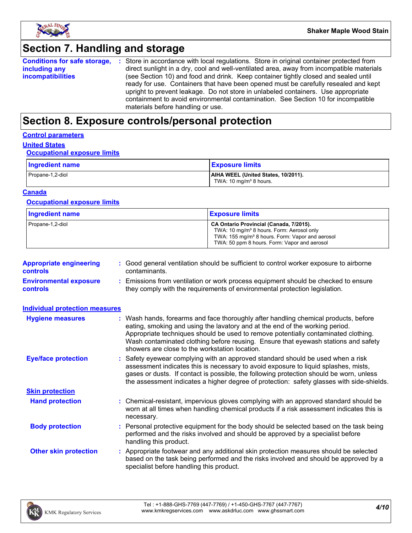

# **Section 7. Handling and storage**

|                          | <b>Conditions for safe storage, :</b> Store in accordance with local regulations. Store in original container protected from |
|--------------------------|------------------------------------------------------------------------------------------------------------------------------|
| including any            | direct sunlight in a dry, cool and well-ventilated area, away from incompatible materials                                    |
| <i>incompatibilities</i> | (see Section 10) and food and drink. Keep container tightly closed and sealed until                                          |
|                          | ready for use. Containers that have been opened must be carefully resealed and kept                                          |
|                          | upright to prevent leakage. Do not store in unlabeled containers. Use appropriate                                            |
|                          | containment to avoid environmental contamination. See Section 10 for incompatible                                            |
|                          | materials before handling or use.                                                                                            |

# **Section 8. Exposure controls/personal protection**

#### **Control parameters**

### **United States**

#### **Occupational exposure limits**

| Ingredient name  | <b>Exposure limits</b>                                                    |
|------------------|---------------------------------------------------------------------------|
| Propane-1,2-diol | AIHA WEEL (United States, 10/2011).<br>TWA: 10 mg/m <sup>3</sup> 8 hours. |

#### **Canada**

#### **Occupational exposure limits**

| <b>Ingredient name</b> | <b>Exposure limits</b>                                                                                                                                                                                          |
|------------------------|-----------------------------------------------------------------------------------------------------------------------------------------------------------------------------------------------------------------|
| Propane-1,2-diol       | CA Ontario Provincial (Canada, 7/2015).<br>TWA: 10 mg/m <sup>3</sup> 8 hours. Form: Aerosol only<br>TWA: 155 mg/m <sup>3</sup> 8 hours. Form: Vapor and aerosol<br>TWA: 50 ppm 8 hours. Form: Vapor and aerosol |

| <b>Appropriate engineering</b><br><b>controls</b> | : Good general ventilation should be sufficient to control worker exposure to airborne<br>contaminants.                                                          |
|---------------------------------------------------|------------------------------------------------------------------------------------------------------------------------------------------------------------------|
| <b>Environmental exposure</b><br><b>controls</b>  | : Emissions from ventilation or work process equipment should be checked to ensure<br>they comply with the requirements of environmental protection legislation. |

| <b>Individual protection measures</b> |                                                                                                                                                                                                                                                                                                                                                                                                   |
|---------------------------------------|---------------------------------------------------------------------------------------------------------------------------------------------------------------------------------------------------------------------------------------------------------------------------------------------------------------------------------------------------------------------------------------------------|
| <b>Hygiene measures</b>               | : Wash hands, forearms and face thoroughly after handling chemical products, before<br>eating, smoking and using the lavatory and at the end of the working period.<br>Appropriate techniques should be used to remove potentially contaminated clothing.<br>Wash contaminated clothing before reusing. Ensure that eyewash stations and safety<br>showers are close to the workstation location. |
| <b>Eye/face protection</b>            | : Safety eyewear complying with an approved standard should be used when a risk<br>assessment indicates this is necessary to avoid exposure to liquid splashes, mists,<br>gases or dusts. If contact is possible, the following protection should be worn, unless<br>the assessment indicates a higher degree of protection: safety glasses with side-shields.                                    |
| <b>Skin protection</b>                |                                                                                                                                                                                                                                                                                                                                                                                                   |
| <b>Hand protection</b>                | : Chemical-resistant, impervious gloves complying with an approved standard should be<br>worn at all times when handling chemical products if a risk assessment indicates this is<br>necessary.                                                                                                                                                                                                   |
| <b>Body protection</b>                | : Personal protective equipment for the body should be selected based on the task being<br>performed and the risks involved and should be approved by a specialist before<br>handling this product.                                                                                                                                                                                               |
| <b>Other skin protection</b>          | : Appropriate footwear and any additional skin protection measures should be selected<br>based on the task being performed and the risks involved and should be approved by a<br>specialist before handling this product.                                                                                                                                                                         |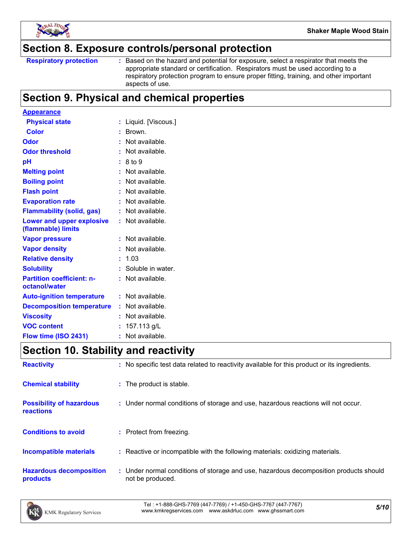

### **Section 8. Exposure controls/personal protection**

Based on the hazard and potential for exposure, select a respirator that meets the appropriate standard or certification. Respirators must be used according to a respiratory protection program to ensure proper fitting, training, and other important aspects of use.

# **Section 9. Physical and chemical properties**

| <b>Appearance</b>                                 |    |                     |
|---------------------------------------------------|----|---------------------|
| <b>Physical state</b>                             |    | Liquid. [Viscous.]  |
| <b>Color</b>                                      |    | Brown.              |
| Odor                                              |    | Not available.      |
| <b>Odor threshold</b>                             |    | Not available.      |
| рH                                                |    | 8 to 9              |
| <b>Melting point</b>                              |    | Not available.      |
| <b>Boiling point</b>                              |    | Not available.      |
| <b>Flash point</b>                                |    | Not available.      |
| <b>Evaporation rate</b>                           |    | Not available.      |
| <b>Flammability (solid, gas)</b>                  |    | Not available.      |
| Lower and upper explosive<br>(flammable) limits   |    | Not available.      |
| <b>Vapor pressure</b>                             |    | Not available.      |
| <b>Vapor density</b>                              |    | Not available.      |
| <b>Relative density</b>                           |    | 1.03                |
| <b>Solubility</b>                                 |    | : Soluble in water. |
| <b>Partition coefficient: n-</b><br>octanol/water |    | Not available.      |
| <b>Auto-ignition temperature</b>                  |    | Not available.      |
| <b>Decomposition temperature</b>                  |    | Not available.      |
| <b>Viscosity</b>                                  |    | Not available.      |
| <b>VOC content</b>                                |    | 157.113 g/L         |
| Flow time (ISO 2431)                              | ř. | Not available.      |

# **Section 10. Stability and reactivity**

| <b>Reactivity</b>                            | : No specific test data related to reactivity available for this product or its ingredients.              |
|----------------------------------------------|-----------------------------------------------------------------------------------------------------------|
| <b>Chemical stability</b>                    | : The product is stable.                                                                                  |
| <b>Possibility of hazardous</b><br>reactions | : Under normal conditions of storage and use, hazardous reactions will not occur.                         |
| <b>Conditions to avoid</b>                   | : Protect from freezing.                                                                                  |
| <b>Incompatible materials</b>                | : Reactive or incompatible with the following materials: oxidizing materials.                             |
| <b>Hazardous decomposition</b><br>products   | : Under normal conditions of storage and use, hazardous decomposition products should<br>not be produced. |

*5/10* Tel : +1-888-GHS-7769 (447-7769) / +1-450-GHS-7767 (447-7767) www.kmkregservices.com www.askdrluc.com www.ghssmart.com

**Respiratory protection :**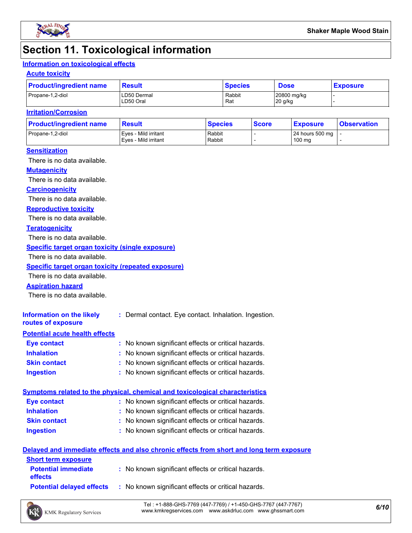

# **Section 11. Toxicological information**

#### **Information on toxicological effects**

#### **Acute toxicity**

| <b>Product/ingredient name</b> | <b>Result</b>            | <b>Species</b> | <b>Dose</b>            | <b>Exposure</b> |
|--------------------------------|--------------------------|----------------|------------------------|-----------------|
| Propane-1,2-diol               | LD50 Dermal<br>LD50 Oral | Rabbit<br>Rat  | 20800 mg/kg<br>20 g/kg |                 |

#### **Irritation/Corrosion**

| <b>Product/ingredient name</b> | <b>Result</b>                                | <b>Species</b>   | <b>Score</b> | <u>  Exposure</u>         | <b>Observation</b> |
|--------------------------------|----------------------------------------------|------------------|--------------|---------------------------|--------------------|
| Propane-1,2-diol               | Eves - Mild irritant<br>Eves - Mild irritant | Rabbit<br>Rabbit |              | 24 hours 500 mg<br>100 mg |                    |
|                                |                                              |                  |              |                           |                    |

#### **Sensitization**

There is no data available.

#### **Mutagenicity**

There is no data available.

#### **Carcinogenicity**

There is no data available.

#### **Reproductive toxicity**

There is no data available.

#### **Teratogenicity**

There is no data available.

#### **Specific target organ toxicity (single exposure)**

There is no data available.

#### **Specific target organ toxicity (repeated exposure)**

There is no data available.

#### **Aspiration hazard**

There is no data available.

| Information on the likely<br>routes of exposure | : Dermal contact. Eye contact. Inhalation. Ingestion. |
|-------------------------------------------------|-------------------------------------------------------|
| <b>Potential acute health effects</b>           |                                                       |
| <b>Eye contact</b>                              | : No known significant effects or critical hazards.   |
| <b>Inhalation</b>                               | : No known significant effects or critical hazards.   |
| <b>Skin contact</b>                             | : No known significant effects or critical hazards.   |

#### **Ingestion :** No known significant effects or critical hazards.

| Symptoms related to the physical, chemical and toxicological characteristics |                                                     |  |  |  |  |
|------------------------------------------------------------------------------|-----------------------------------------------------|--|--|--|--|
| Eye contact                                                                  | : No known significant effects or critical hazards. |  |  |  |  |
| <b>Inhalation</b>                                                            | : No known significant effects or critical hazards. |  |  |  |  |
| <b>Skin contact</b>                                                          | : No known significant effects or critical hazards. |  |  |  |  |
| <b>Ingestion</b>                                                             | : No known significant effects or critical hazards. |  |  |  |  |

#### **Delayed and immediate effects and also chronic effects from short and long term exposure**

| <b>Short term exposure</b>                   |                                                     |
|----------------------------------------------|-----------------------------------------------------|
| <b>Potential immediate</b><br><b>effects</b> | : No known significant effects or critical hazards. |
| <b>Potential delaved effects</b>             | : No known significant effects or critical hazards. |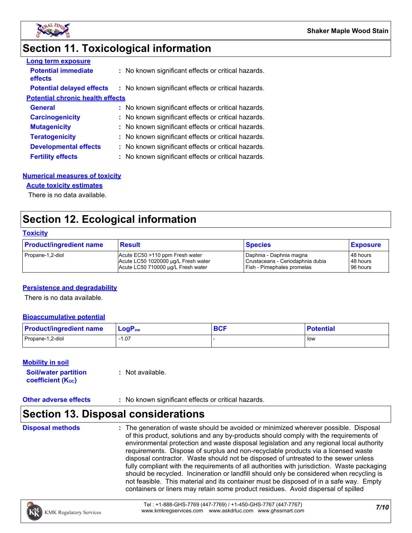

# **Section 11. Toxicological information**

| <b>Long term exposure</b>               |                                                     |
|-----------------------------------------|-----------------------------------------------------|
| <b>Potential immediate</b><br>effects   | : No known significant effects or critical hazards. |
| <b>Potential delayed effects</b>        | : No known significant effects or critical hazards. |
| <b>Potential chronic health effects</b> |                                                     |
| <b>General</b>                          | : No known significant effects or critical hazards. |
| <b>Carcinogenicity</b>                  | : No known significant effects or critical hazards. |
| <b>Mutagenicity</b>                     | : No known significant effects or critical hazards. |
| <b>Teratogenicity</b>                   | : No known significant effects or critical hazards. |
| <b>Developmental effects</b>            | : No known significant effects or critical hazards. |
| <b>Fertility effects</b>                | : No known significant effects or critical hazards. |

#### **Numerical measures of toxicity**

#### **Acute toxicity estimates**

There is no data available.

# **Section 12. Ecological information**

#### **Toxicity**

| <b>Product/ingredient name</b> | <b>Result</b>                       | <b>Species</b>                   | <b>Exposure</b> |
|--------------------------------|-------------------------------------|----------------------------------|-----------------|
| Propane-1,2-diol               | Acute EC50 >110 ppm Fresh water     | I Daphnia - Daphnia magna        | 48 hours        |
|                                | Acute LC50 1020000 ug/L Fresh water | Crustaceans - Ceriodaphnia dubia | 48 hours        |
|                                | Acute LC50 710000 ug/L Fresh water  | Fish - Pimephales promelas       | 96 hours        |

#### **Persistence and degradability**

There is no data available.

#### **Bioaccumulative potential**

| <b>Product/ingredient name</b> | $\mathsf{LogP}_\mathsf{ow}$ | <b>DAC</b><br><b>DUI</b> | <b>Potential</b> |
|--------------------------------|-----------------------------|--------------------------|------------------|
| Propane-1,2-diol               | 07، ا                       |                          | l low            |

#### **Mobility in soil**

| <b>Soil/water partition</b>    | $:$ Not available. |
|--------------------------------|--------------------|
| coefficient (K <sub>oc</sub> ) |                    |

#### **Other adverse effects** : No known significant effects or critical hazards.

### **Section 13. Disposal considerations**

**Disposal methods :**

The generation of waste should be avoided or minimized wherever possible. Disposal of this product, solutions and any by-products should comply with the requirements of environmental protection and waste disposal legislation and any regional local authority requirements. Dispose of surplus and non-recyclable products via a licensed waste disposal contractor. Waste should not be disposed of untreated to the sewer unless fully compliant with the requirements of all authorities with jurisdiction. Waste packaging should be recycled. Incineration or landfill should only be considered when recycling is not feasible. This material and its container must be disposed of in a safe way. Empty containers or liners may retain some product residues. Avoid dispersal of spilled

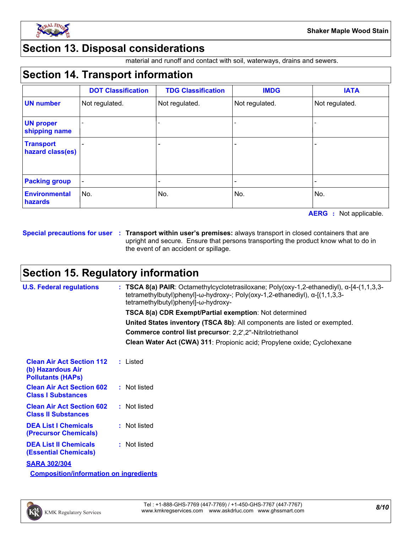

## **Section 13. Disposal considerations**

material and runoff and contact with soil, waterways, drains and sewers.

# **Section 14. Transport information**

|                                      | <b>DOT Classification</b> | <b>TDG Classification</b> | <b>IMDG</b>    | <b>IATA</b>    |
|--------------------------------------|---------------------------|---------------------------|----------------|----------------|
| <b>UN number</b>                     | Not regulated.            | Not regulated.            | Not regulated. | Not regulated. |
| <b>UN proper</b><br>shipping name    |                           |                           |                |                |
| <b>Transport</b><br>hazard class(es) |                           |                           |                |                |
|                                      |                           |                           |                |                |
| <b>Packing group</b>                 |                           |                           |                |                |
| <b>Environmental</b><br>hazards      | No.                       | No.                       | No.            | No.            |

**AERG :** Not applicable.

**Special precautions for user Transport within user's premises:** always transport in closed containers that are **:** upright and secure. Ensure that persons transporting the product know what to do in the event of an accident or spillage.

# **Section 15. Regulatory information**

| <b>U.S. Federal regulations</b>                                                   | : TSCA 8(a) PAIR: Octamethylcyclotetrasiloxane; Poly(oxy-1,2-ethanediyl), $\alpha$ -[4-(1,1,3,3-<br>tetramethylbutyl)phenyl]- $\omega$ -hydroxy-; Poly(oxy-1,2-ethanediyl), $\alpha$ -[(1,1,3,3-<br>tetramethylbutyl)phenyl]-ω-hydroxy- |
|-----------------------------------------------------------------------------------|-----------------------------------------------------------------------------------------------------------------------------------------------------------------------------------------------------------------------------------------|
|                                                                                   | TSCA 8(a) CDR Exempt/Partial exemption: Not determined                                                                                                                                                                                  |
|                                                                                   | United States inventory (TSCA 8b): All components are listed or exempted.                                                                                                                                                               |
|                                                                                   | Commerce control list precursor: 2,2',2"-Nitrilotriethanol                                                                                                                                                                              |
|                                                                                   | Clean Water Act (CWA) 311: Propionic acid; Propylene oxide; Cyclohexane                                                                                                                                                                 |
| <b>Clean Air Act Section 112</b><br>(b) Hazardous Air<br><b>Pollutants (HAPS)</b> | : Listed                                                                                                                                                                                                                                |
| <b>Clean Air Act Section 602</b><br><b>Class I Substances</b>                     | : Not listed                                                                                                                                                                                                                            |
| <b>Clean Air Act Section 602</b><br><b>Class II Substances</b>                    | : Not listed                                                                                                                                                                                                                            |
| <b>DEA List I Chemicals</b><br>(Precursor Chemicals)                              | : Not listed                                                                                                                                                                                                                            |
| <b>DEA List II Chemicals</b><br><b>(Essential Chemicals)</b>                      | : Not listed                                                                                                                                                                                                                            |
| <b>SARA 302/304</b>                                                               |                                                                                                                                                                                                                                         |
| <b>Composition/information on ingredients</b>                                     |                                                                                                                                                                                                                                         |

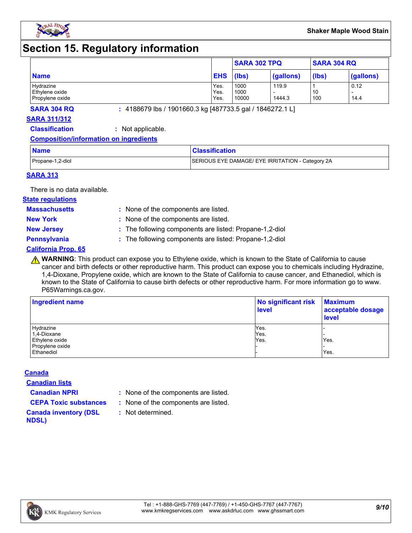

# **Section 15. Regulatory information**

|                                                |                      | <b>SARA 302 TPQ</b>   |                 | <b>SARA 304 RQ</b> |              |
|------------------------------------------------|----------------------|-----------------------|-----------------|--------------------|--------------|
| <b>Name</b>                                    | <b>EHS</b>           | (lbs)                 | (gallons)       | (lbs)              | (gallons)    |
| Hydrazine<br>Ethylene oxide<br>Propylene oxide | Yes.<br>Yes.<br>Yes. | 1000<br>1000<br>10000 | 119.9<br>1444.3 | 10<br>100          | 0.12<br>14.4 |

**SARA 304 RQ :** 4188679 lbs / 1901660.3 kg [487733.5 gal / 1846272.1 L]

#### **SARA 311/312**

**Classification :** Not applicable.

#### **Composition/information on ingredients**

| <b>Name</b>      | <b>Classification</b>                            |
|------------------|--------------------------------------------------|
| Propane-1,2-diol | SERIOUS EYE DAMAGE/ EYE IRRITATION - Category 2A |

#### **SARA 313**

There is no data available.

#### **State regulations**

**Massachusetts :**

- : None of the components are listed. **New York :** None of the components are listed.
- 
- **New Jersey :** The following components are listed: Propane-1,2-diol

**Pennsylvania :** The following components are listed: Propane-1,2-diol

#### **California Prop. 65**

**A WARNING**: This product can expose you to Ethylene oxide, which is known to the State of California to cause cancer and birth defects or other reproductive harm. This product can expose you to chemicals including Hydrazine, 1,4-Dioxane, Propylene oxide, which are known to the State of California to cause cancer, and Ethanediol, which is known to the State of California to cause birth defects or other reproductive harm. For more information go to www. P65Warnings.ca.gov.

| Ingredient name | No significant risk<br><b>level</b> | <b>Maximum</b><br>acceptable dosage<br><b>level</b> |  |
|-----------------|-------------------------------------|-----------------------------------------------------|--|
| Hydrazine       | Yes.                                |                                                     |  |
| 1,4-Dioxane     | Yes.                                |                                                     |  |
| Ethylene oxide  | Yes.                                | Yes.                                                |  |
| Propylene oxide |                                     |                                                     |  |
| Ethanediol      |                                     | Yes.                                                |  |

#### **Canada**

**Canadian lists**

- **Canadian NPRI :** None of the components are listed.
- **CEPA Toxic substances :** None of the components are listed.
	- **:** Not determined.
- **Canada inventory (DSL NDSL)**